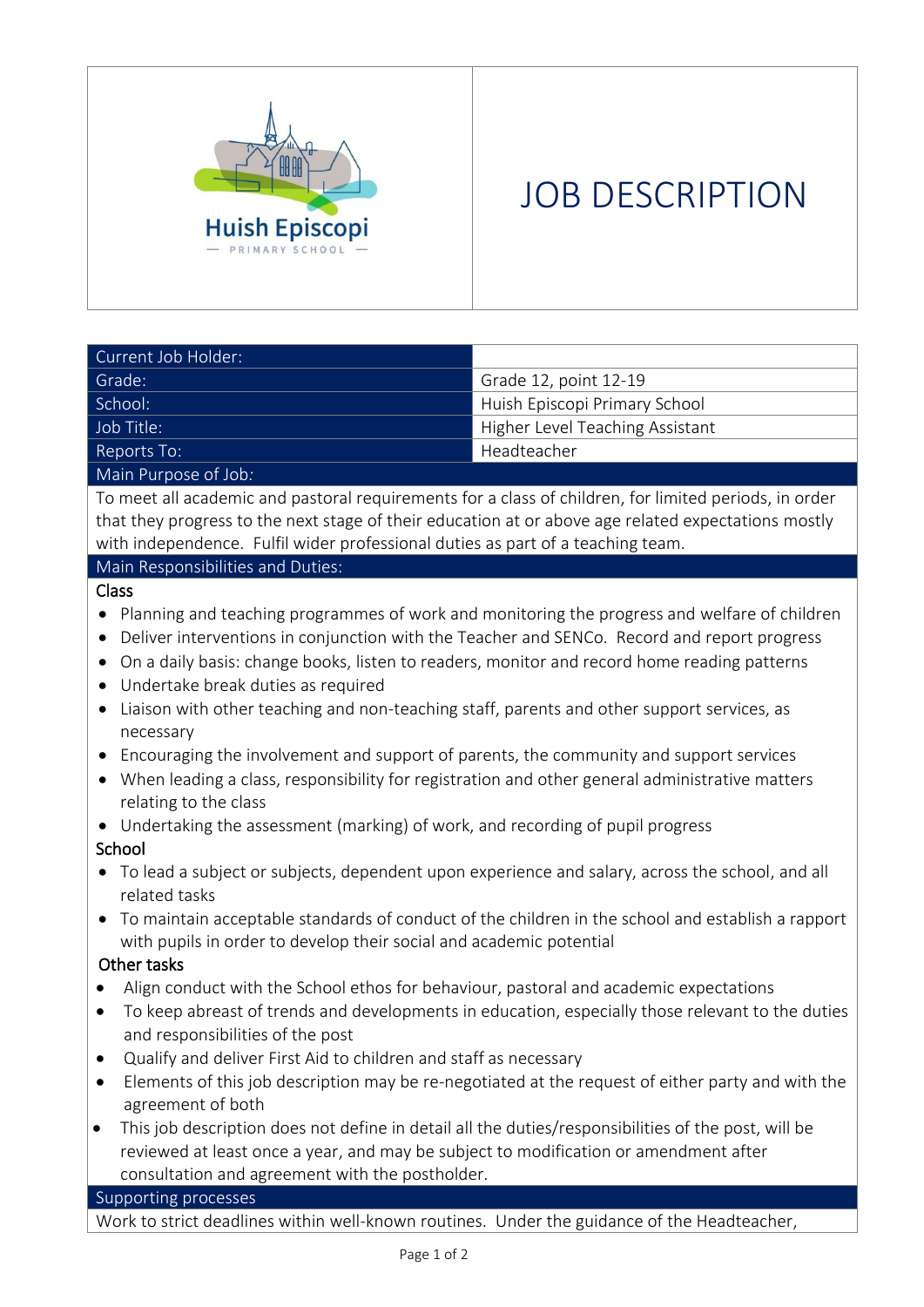

# JOB DESCRIPTION

| Current Job Holder:  |                                 |
|----------------------|---------------------------------|
| Grade:               | Grade 12, point 12-19           |
| School:              | Huish Episcopi Primary School   |
| Job Title:           | Higher Level Teaching Assistant |
| Reports To:          | Headteacher                     |
| Main Purpose of Job: |                                 |

To meet all academic and pastoral requirements for a class of children, for limited periods, in order that they progress to the next stage of their education at or above age related expectations mostly with independence. Fulfil wider professional duties as part of a teaching team.

### Main Responsibilities and Duties:

# Class

- Planning and teaching programmes of work and monitoring the progress and welfare of children
- Deliver interventions in conjunction with the Teacher and SENCo. Record and report progress
- On a daily basis: change books, listen to readers, monitor and record home reading patterns
- Undertake break duties as required
- Liaison with other teaching and non-teaching staff, parents and other support services, as necessary
- Encouraging the involvement and support of parents, the community and support services
- When leading a class, responsibility for registration and other general administrative matters relating to the class
- Undertaking the assessment (marking) of work, and recording of pupil progress

# School

- To lead a subject or subjects, dependent upon experience and salary, across the school, and all related tasks
- To maintain acceptable standards of conduct of the children in the school and establish a rapport with pupils in order to develop their social and academic potential

# Other tasks

- Align conduct with the School ethos for behaviour, pastoral and academic expectations
- To keep abreast of trends and developments in education, especially those relevant to the duties and responsibilities of the post
- Qualify and deliver First Aid to children and staff as necessary
- Elements of this job description may be re-negotiated at the request of either party and with the agreement of both
- This job description does not define in detail all the duties/responsibilities of the post, will be reviewed at least once a year, and may be subject to modification or amendment after consultation and agreement with the postholder.

# Supporting processes

Work to strict deadlines within well-known routines. Under the guidance of the Headteacher,